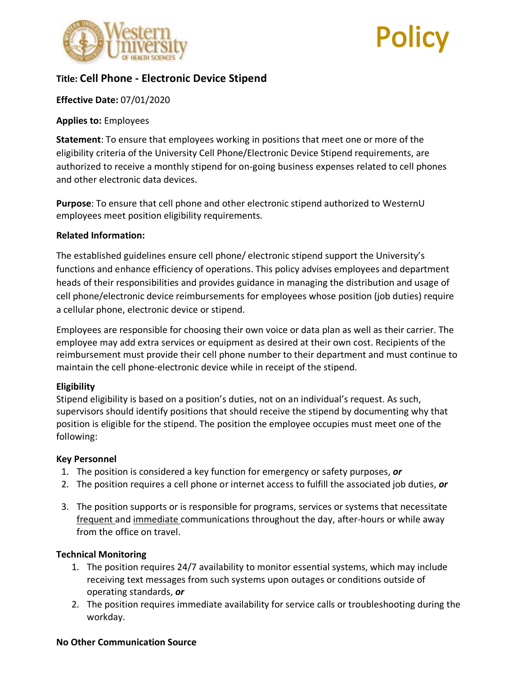

# **Title: Cell Phone - Electronic Device Stipend**

## **Effective Date:** 07/01/2020

#### **Applies to:** Employees

**Statement**: To ensure that employees working in positions that meet one or more of the eligibility criteria of the University Cell Phone/Electronic Device Stipend requirements, are authorized to receive a monthly stipend for on-going business expenses related to cell phones and other electronic data devices.

**Purpose**: To ensure that cell phone and other electronic stipend authorized to WesternU employees meet position eligibility requirements.

#### **Related Information:**

The established guidelines ensure cell phone/ electronic stipend support the University's functions and enhance efficiency of operations. This policy advises employees and department heads of their responsibilities and provides guidance in managing the distribution and usage of cell phone/electronic device reimbursements for employees whose position (job duties) require a cellular phone, electronic device or stipend.

Employees are responsible for choosing their own voice or data plan as well as their carrier. The employee may add extra services or equipment as desired at their own cost. Recipients of the reimbursement must provide their cell phone number to their department and must continue to maintain the cell phone-electronic device while in receipt of the stipend.

#### **Eligibility**

Stipend eligibility is based on a position's duties, not on an individual's request. As such, supervisors should identify positions that should receive the stipend by documenting why that position is eligible for the stipend. The position the employee occupies must meet one of the following:

## **Key Personnel**

- 1. The position is considered a key function for emergency or safety purposes, *or*
- 2. The position requires a cell phone or internet access to fulfill the associated job duties, *or*
- 3. The position supports or is responsible for programs, services or systems that necessitate frequent and immediate communications throughout the day, after-hours or while away from the office on travel.

## **Technical Monitoring**

- 1. The position requires 24/7 availability to monitor essential systems, which may include receiving text messages from such systems upon outages or conditions outside of operating standards, *or*
- 2. The position requires immediate availability for service calls or troubleshooting during the workday.

#### **No Other Communication Source**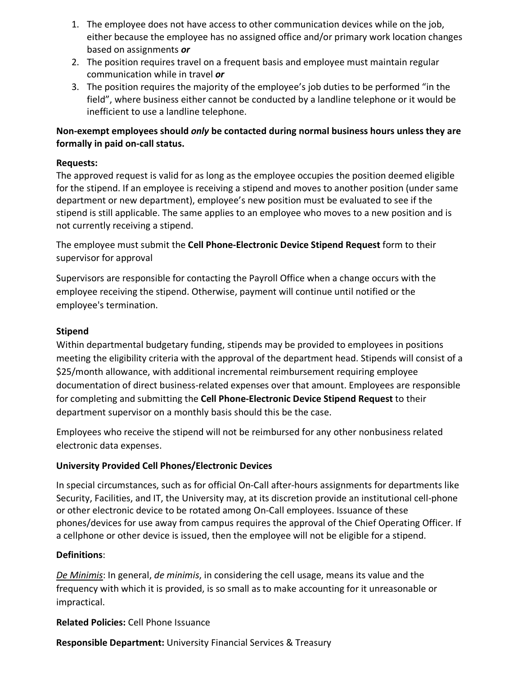- 1. The employee does not have access to other communication devices while on the job, either because the employee has no assigned office and/or primary work location changes based on assignments *or*
- 2. The position requires travel on a frequent basis and employee must maintain regular communication while in travel *or*
- 3. The position requires the majority of the employee's job duties to be performed "in the field", where business either cannot be conducted by a landline telephone or it would be inefficient to use a landline telephone.

# **Non-exempt employees should** *only* **be contacted during normal business hours unless they are formally in paid on-call status.**

## **Requests:**

The approved request is valid for as long as the employee occupies the position deemed eligible for the stipend. If an employee is receiving a stipend and moves to another position (under same department or new department), employee's new position must be evaluated to see if the stipend is still applicable. The same applies to an employee who moves to a new position and is not currently receiving a stipend.

The employee must submit the **Cell Phone-Electronic Device Stipend Request** form to their supervisor for approval

Supervisors are responsible for contacting the Payroll Office when a change occurs with the employee receiving the stipend. Otherwise, payment will continue until notified or the employee's termination.

# **Stipend**

Within departmental budgetary funding, stipends may be provided to employees in positions meeting the eligibility criteria with the approval of the department head. Stipends will consist of a \$25/month allowance, with additional incremental reimbursement requiring employee documentation of direct business-related expenses over that amount. Employees are responsible for completing and submitting the **Cell Phone-Electronic Device Stipend Request** to their department supervisor on a monthly basis should this be the case.

Employees who receive the stipend will not be reimbursed for any other nonbusiness related electronic data expenses.

# **University Provided Cell Phones/Electronic Devices**

In special circumstances, such as for official On-Call after-hours assignments for departments like Security, Facilities, and IT, the University may, at its discretion provide an institutional cell-phone or other electronic device to be rotated among On-Call employees. Issuance of these phones/devices for use away from campus requires the approval of the Chief Operating Officer. If a cellphone or other device is issued, then the employee will not be eligible for a stipend.

## **Definitions**:

*De Minimis*: In general, *de minimis*, in considering the cell usage, means its value and the frequency with which it is provided, is so small as to make accounting for it unreasonable or impractical.

**Related Policies:** Cell Phone Issuance

**Responsible Department:** University Financial Services & Treasury